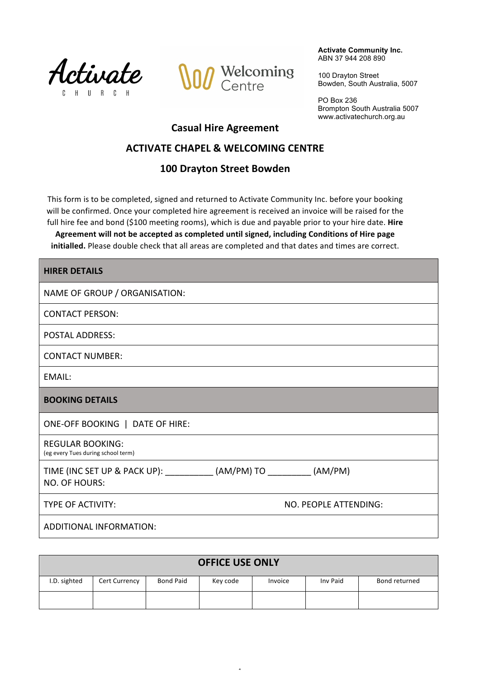



**Activate Community Inc.** ABN 37 944 208 890

100 Drayton Street Bowden, South Australia, 5007

PO Box 236 Brompton South Australia 5007 www.activatechurch.org.au

# **Casual Hire Agreement**

# **ACTIVATE CHAPEL & WELCOMING CENTRE**

# **100 Drayton Street Bowden**

This form is to be completed, signed and returned to Activate Community Inc. before your booking will be confirmed. Once your completed hire agreement is received an invoice will be raised for the full hire fee and bond (\$100 meeting rooms), which is due and payable prior to your hire date. Hire

Agreement will not be accepted as completed until signed, including Conditions of Hire page initialled. Please double check that all areas are completed and that dates and times are correct.

| <b>HIRER DETAILS</b>                                                                    |                       |  |  |
|-----------------------------------------------------------------------------------------|-----------------------|--|--|
| NAME OF GROUP / ORGANISATION:                                                           |                       |  |  |
| <b>CONTACT PERSON:</b>                                                                  |                       |  |  |
| <b>POSTAL ADDRESS:</b>                                                                  |                       |  |  |
| <b>CONTACT NUMBER:</b>                                                                  |                       |  |  |
| EMAIL:                                                                                  |                       |  |  |
| <b>BOOKING DETAILS</b>                                                                  |                       |  |  |
| ONE-OFF BOOKING   DATE OF HIRE:                                                         |                       |  |  |
| <b>REGULAR BOOKING:</b><br>(eg every Tues during school term)                           |                       |  |  |
| TIME (INC SET UP & PACK UP): ____________ (AM/PM) TO _________ (AM/PM)<br>NO. OF HOURS: |                       |  |  |
| TYPE OF ACTIVITY:                                                                       | NO. PEOPLE ATTENDING: |  |  |
| ADDITIONAL INFORMATION:                                                                 |                       |  |  |

| <b>OFFICE USE ONLY</b> |                      |                  |          |         |          |               |  |
|------------------------|----------------------|------------------|----------|---------|----------|---------------|--|
| I.D. sighted           | <b>Cert Currency</b> | <b>Bond Paid</b> | Key code | Invoice | Inv Paid | Bond returned |  |
|                        |                      |                  |          |         |          |               |  |

 $\overline{a}$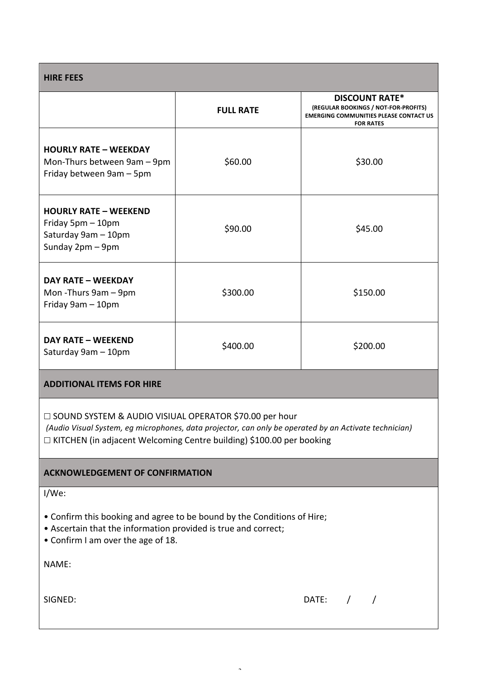| <b>HIRE FEES</b>                                                                                                                                                                                                                                 |                  |                                                                                                                                    |  |  |  |
|--------------------------------------------------------------------------------------------------------------------------------------------------------------------------------------------------------------------------------------------------|------------------|------------------------------------------------------------------------------------------------------------------------------------|--|--|--|
|                                                                                                                                                                                                                                                  | <b>FULL RATE</b> | <b>DISCOUNT RATE*</b><br>(REGULAR BOOKINGS / NOT-FOR-PROFITS)<br><b>EMERGING COMMUNITIES PLEASE CONTACT US</b><br><b>FOR RATES</b> |  |  |  |
| <b>HOURLY RATE - WEEKDAY</b><br>Mon-Thurs between 9am - 9pm<br>Friday between 9am - 5pm                                                                                                                                                          | \$60.00          | \$30.00                                                                                                                            |  |  |  |
| <b>HOURLY RATE - WEEKEND</b><br>Friday 5pm - 10pm<br>Saturday 9am - 10pm<br>Sunday 2pm - 9pm                                                                                                                                                     | \$90.00          | \$45.00                                                                                                                            |  |  |  |
| <b>DAY RATE - WEEKDAY</b><br>Mon-Thurs 9am - 9pm<br>Friday 9am - 10pm                                                                                                                                                                            | \$300.00         | \$150.00                                                                                                                           |  |  |  |
| <b>DAY RATE - WEEKEND</b><br>Saturday 9am - 10pm                                                                                                                                                                                                 | \$400.00         | \$200.00                                                                                                                           |  |  |  |
| <b>ADDITIONAL ITEMS FOR HIRE</b>                                                                                                                                                                                                                 |                  |                                                                                                                                    |  |  |  |
| $\Box$ SOUND SYSTEM & AUDIO VISIUAL OPERATOR \$70.00 per hour<br>(Audio Visual System, eg microphones, data projector, can only be operated by an Activate technician)<br>□ KITCHEN (in adjacent Welcoming Centre building) \$100.00 per booking |                  |                                                                                                                                    |  |  |  |
| <b>ACKNOWLEDGEMENT OF CONFIRMATION</b>                                                                                                                                                                                                           |                  |                                                                                                                                    |  |  |  |
| $I/We$ :<br>• Confirm this booking and agree to be bound by the Conditions of Hire;<br>• Ascertain that the information provided is true and correct;                                                                                            |                  |                                                                                                                                    |  |  |  |

2

• Confirm I am over the age of 18.

NAME: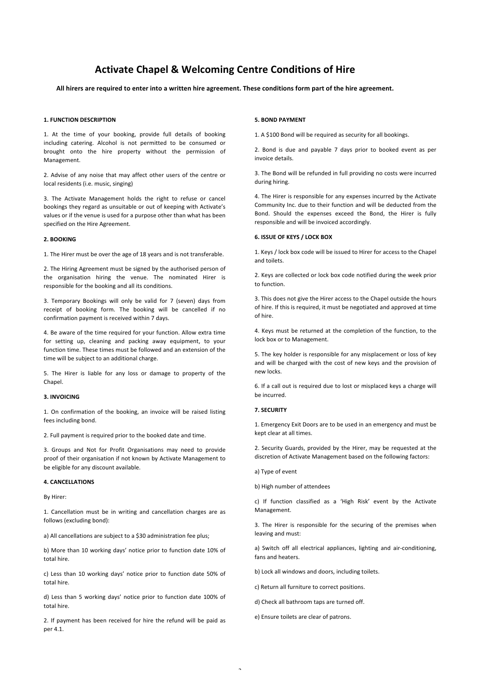# **Activate Chapel & Welcoming Centre Conditions of Hire**

All hirers are required to enter into a written hire agreement. These conditions form part of the hire agreement.

#### **1. FUNCTION DESCRIPTION**

1. At the time of your booking, provide full details of booking including catering. Alcohol is not permitted to be consumed or brought onto the hire property without the permission of Management.

2. Advise of any noise that may affect other users of the centre or local residents (i.e. music, singing)

3. The Activate Management holds the right to refuse or cancel bookings they regard as unsuitable or out of keeping with Activate's values or if the venue is used for a purpose other than what has been specified on the Hire Agreement.

#### **2. BOOKING**

1. The Hirer must be over the age of 18 years and is not transferable.

2. The Hiring Agreement must be signed by the authorised person of the organisation hiring the venue. The nominated Hirer is responsible for the booking and all its conditions.

3. Temporary Bookings will only be valid for 7 (seven) days from receipt of booking form. The booking will be cancelled if no confirmation payment is received within 7 days.

4. Be aware of the time required for your function. Allow extra time for setting up, cleaning and packing away equipment, to your function time. These times must be followed and an extension of the time will be subject to an additional charge.

5. The Hirer is liable for any loss or damage to property of the Chapel.

#### **3. INVOICING**

1. On confirmation of the booking, an invoice will be raised listing fees including bond.

2. Full payment is required prior to the booked date and time.

3. Groups and Not for Profit Organisations may need to provide proof of their organisation if not known by Activate Management to be eligible for any discount available.

# **4. CANCELLATIONS**

By Hirer:

1. Cancellation must be in writing and cancellation charges are as follows (excluding bond):

a) All cancellations are subject to a \$30 administration fee plus;

b) More than 10 working days' notice prior to function date 10% of total hire.

c) Less than 10 working days' notice prior to function date 50% of total hire.

d) Less than 5 working days' notice prior to function date 100% of total hire.

2. If payment has been received for hire the refund will be paid as per 4.1.

#### **5. BOND PAYMENT**

1. A \$100 Bond will be required as security for all bookings.

2. Bond is due and payable 7 days prior to booked event as per invoice details.

3. The Bond will be refunded in full providing no costs were incurred during hiring.

4. The Hirer is responsible for any expenses incurred by the Activate Community Inc. due to their function and will be deducted from the Bond. Should the expenses exceed the Bond, the Hirer is fully responsible and will be invoiced accordingly.

#### **6. ISSUE OF KEYS / LOCK BOX**

1. Keys / lock box code will be issued to Hirer for access to the Chapel and toilets.

2. Keys are collected or lock box code notified during the week prior to function.

3. This does not give the Hirer access to the Chapel outside the hours of hire. If this is required, it must be negotiated and approved at time of hire.

4. Keys must be returned at the completion of the function, to the lock box or to Management.

5. The key holder is responsible for any misplacement or loss of key and will be charged with the cost of new keys and the provision of new locks.

6. If a call out is required due to lost or misplaced keys a charge will be incurred.

# **7. SECURITY**

1. Emergency Exit Doors are to be used in an emergency and must be kept clear at all times.

2. Security Guards, provided by the Hirer, may be requested at the discretion of Activate Management based on the following factors:

a) Type of event

b) High number of attendees

c) If function classified as a 'High Risk' event by the Activate Management.

3. The Hirer is responsible for the securing of the premises when leaving and must:

a) Switch off all electrical appliances, lighting and air-conditioning, fans and heaters.

b) Lock all windows and doors, including toilets.

c) Return all furniture to correct positions.

d) Check all bathroom taps are turned off.

e) Ensure toilets are clear of patrons.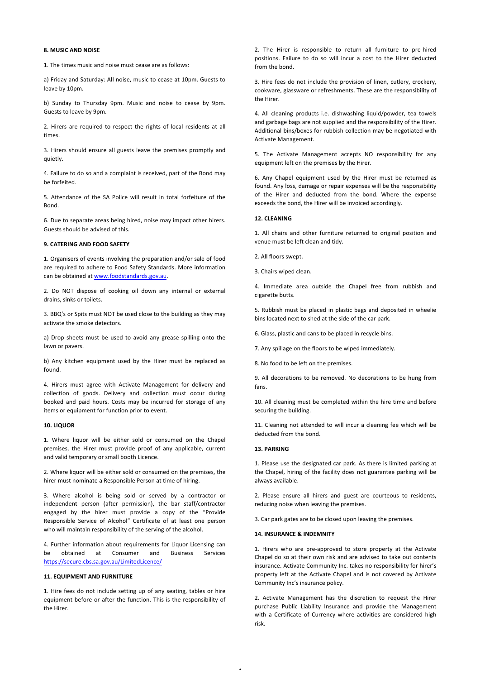# **8. MUSIC AND NOISE**

1. The times music and noise must cease are as follows:

a) Friday and Saturday: All noise, music to cease at 10pm. Guests to leave by 10pm.

b) Sunday to Thursday 9pm. Music and noise to cease by 9pm. Guests to leave by 9pm.

2. Hirers are required to respect the rights of local residents at all times.

3. Hirers should ensure all guests leave the premises promptly and quietly.

4. Failure to do so and a complaint is received, part of the Bond may be forfeited.

5. Attendance of the SA Police will result in total forfeiture of the Bond.

6. Due to separate areas being hired, noise may impact other hirers. Guests should be advised of this.

## **9. CATERING AND FOOD SAFETY**

1. Organisers of events involving the preparation and/or sale of food are required to adhere to Food Safety Standards. More information can be obtained at www.foodstandards.gov.au.

2. Do NOT dispose of cooking oil down any internal or external drains, sinks or toilets.

3. BBQ's or Spits must NOT be used close to the building as they may activate the smoke detectors.

a) Drop sheets must be used to avoid any grease spilling onto the lawn or pavers.

b) Any kitchen equipment used by the Hirer must be replaced as found.

4. Hirers must agree with Activate Management for delivery and collection of goods. Delivery and collection must occur during booked and paid hours. Costs may be incurred for storage of any items or equipment for function prior to event.

#### **10. LIQUOR**

1. Where liquor will be either sold or consumed on the Chapel premises, the Hirer must provide proof of any applicable, current and valid temporary or small booth Licence.

2. Where liquor will be either sold or consumed on the premises, the hirer must nominate a Responsible Person at time of hiring.

3. Where alcohol is being sold or served by a contractor or independent person (after permission), the bar staff/contractor engaged by the hirer must provide a copy of the "Provide Responsible Service of Alcohol" Certificate of at least one person who will maintain responsibility of the serving of the alcohol.

4. Further information about requirements for Liquor Licensing can be obtained at Consumer and Business Services https://secure.cbs.sa.gov.au/LimitedLicence/

#### **11. EQUIPMENT AND FURNITURE**

1. Hire fees do not include setting up of any seating, tables or hire equipment before or after the function. This is the responsibility of the Hirer.

2. The Hirer is responsible to return all furniture to pre-hired positions. Failure to do so will incur a cost to the Hirer deducted from the hond

3. Hire fees do not include the provision of linen, cutlery, crockery, cookware, glassware or refreshments. These are the responsibility of the Hirer.

4. All cleaning products i.e. dishwashing liquid/powder, tea towels and garbage bags are not supplied and the responsibility of the Hirer. Additional bins/boxes for rubbish collection may be negotiated with Activate Management.

5. The Activate Management accepts NO responsibility for any equipment left on the premises by the Hirer.

6. Any Chapel equipment used by the Hirer must be returned as found. Any loss, damage or repair expenses will be the responsibility of the Hirer and deducted from the bond. Where the expense exceeds the bond, the Hirer will be invoiced accordingly.

# **12. CLEANING**

1. All chairs and other furniture returned to original position and venue must be left clean and tidy.

- 2. All floors swept.
- 3. Chairs wiped clean.

4. Immediate area outside the Chapel free from rubbish and cigarette butts.

5. Rubbish must be placed in plastic bags and deposited in wheelie bins located next to shed at the side of the car park.

6. Glass, plastic and cans to be placed in recycle bins.

7. Any spillage on the floors to be wiped immediately.

8. No food to be left on the premises.

9. All decorations to be removed. No decorations to be hung from fans.

10. All cleaning must be completed within the hire time and before securing the building.

11. Cleaning not attended to will incur a cleaning fee which will be deducted from the bond.

# **13. PARKING**

1. Please use the designated car park. As there is limited parking at the Chapel, hiring of the facility does not guarantee parking will be always available. 

2. Please ensure all hirers and guest are courteous to residents, reducing noise when leaving the premises.

3. Car park gates are to be closed upon leaving the premises.

# **14. INSURANCE & INDEMNITY**

1. Hirers who are pre-approved to store property at the Activate Chapel do so at their own risk and are advised to take out contents insurance. Activate Community Inc. takes no responsibility for hirer's property left at the Activate Chapel and is not covered by Activate Community Inc's insurance policy.

2. Activate Management has the discretion to request the Hirer purchase Public Liability Insurance and provide the Management with a Certificate of Currency where activities are considered high risk.